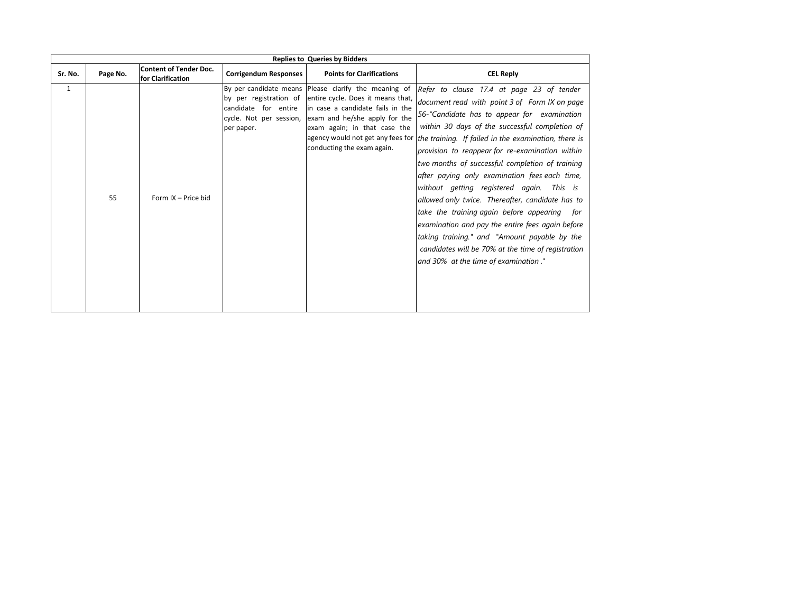|         | <b>Replies to Queries by Bidders</b> |                                                    |                                    |                                                                                                                                                                                                                                                                                                                  |                                                                                                                                                                                                                                                                                                                                                                                                                                                                                                                                                                                                                                                                                                                                                               |  |  |  |
|---------|--------------------------------------|----------------------------------------------------|------------------------------------|------------------------------------------------------------------------------------------------------------------------------------------------------------------------------------------------------------------------------------------------------------------------------------------------------------------|---------------------------------------------------------------------------------------------------------------------------------------------------------------------------------------------------------------------------------------------------------------------------------------------------------------------------------------------------------------------------------------------------------------------------------------------------------------------------------------------------------------------------------------------------------------------------------------------------------------------------------------------------------------------------------------------------------------------------------------------------------------|--|--|--|
| Sr. No. | Page No.                             | <b>Content of Tender Doc.</b><br>for Clarification | <b>Corrigendum Responses</b>       | <b>Points for Clarifications</b>                                                                                                                                                                                                                                                                                 | <b>CEL Reply</b>                                                                                                                                                                                                                                                                                                                                                                                                                                                                                                                                                                                                                                                                                                                                              |  |  |  |
| 1       | 55                                   | Form IX - Price bid                                | candidate for entire<br>per paper. | By per candidate means Please clarify the meaning of<br>by per registration of entire cycle. Does it means that,<br>In case a candidate fails in the<br>cycle. Not per session, exam and he/she apply for the<br>exam again; in that case the<br>agency would not get any fees for<br>conducting the exam again. | Refer to clause 17.4 at page 23 of tender<br>document read with point 3 of Form IX on page<br>56-"Candidate has to appear for examination<br>within 30 days of the successful completion of<br>the training. If failed in the examination, there is<br>provision to reappear for re-examination within<br>two months of successful completion of training<br>after paying only examination fees each time,<br>without getting registered again. This is<br>allowed only twice. Thereafter, candidate has to<br>take the training again before appearing for<br>examination and pay the entire fees again before<br>taking training." and "Amount payable by the<br>candidates will be 70% at the time of registration<br>and 30% at the time of examination." |  |  |  |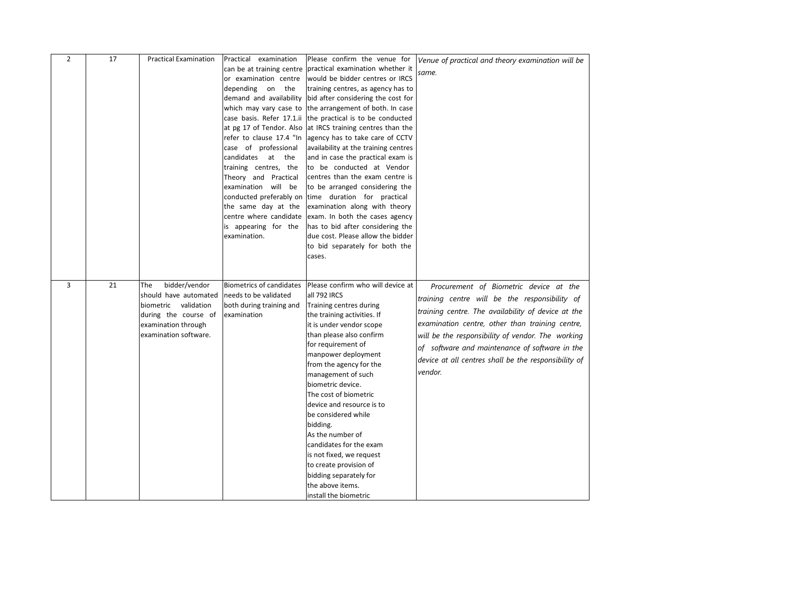| $\overline{2}$ | 17 | <b>Practical Examination</b>                                                                                                                  | Practical examination<br>can be at training centre<br>or examination centre<br>depending on the<br>demand and availability<br>which may vary case to<br>at pg 17 of Tendor. Also<br>case of professional<br>candidates at the | Please confirm the venue for<br>practical examination whether it<br>would be bidder centres or IRCS<br>training centres, as agency has to<br>bid after considering the cost for<br>the arrangement of both. In case<br>case basis. Refer 17.1.ii the practical is to be conducted<br>at IRCS training centres than the<br>refer to clause 17.4 "In agency has to take care of CCTV<br>availability at the training centres<br>and in case the practical exam is                                                                                             | Venue of practical and theory examination will be<br>same.                                                                                                                                                                                                                                                                                                                 |
|----------------|----|-----------------------------------------------------------------------------------------------------------------------------------------------|-------------------------------------------------------------------------------------------------------------------------------------------------------------------------------------------------------------------------------|-------------------------------------------------------------------------------------------------------------------------------------------------------------------------------------------------------------------------------------------------------------------------------------------------------------------------------------------------------------------------------------------------------------------------------------------------------------------------------------------------------------------------------------------------------------|----------------------------------------------------------------------------------------------------------------------------------------------------------------------------------------------------------------------------------------------------------------------------------------------------------------------------------------------------------------------------|
|                |    |                                                                                                                                               | training centres, the<br>Theory and Practical<br>examination will be<br>conducted preferably on<br>the same day at the<br>centre where candidate<br>is appearing for the<br>examination.                                      | to be conducted at Vendor<br>centres than the exam centre is<br>to be arranged considering the<br>time duration for practical<br>examination along with theory<br>exam. In both the cases agency<br>has to bid after considering the<br>due cost. Please allow the bidder<br>to bid separately for both the<br>cases.                                                                                                                                                                                                                                       |                                                                                                                                                                                                                                                                                                                                                                            |
| 3              | 21 | bidder/vendor<br>The<br>should have automated<br>biometric validation<br>during the course of<br>examination through<br>examination software. | <b>Biometrics of candidates</b><br>needs to be validated<br>both during training and<br>examination                                                                                                                           | Please confirm who will device at<br>all 792 IRCS<br>Training centres during<br>the training activities. If<br>it is under vendor scope<br>than please also confirm<br>for requirement of<br>manpower deployment<br>from the agency for the<br>management of such<br>biometric device.<br>The cost of biometric<br>device and resource is to<br>be considered while<br>bidding.<br>As the number of<br>candidates for the exam<br>is not fixed, we request<br>to create provision of<br>bidding separately for<br>the above items.<br>install the biometric | Procurement of Biometric device at the<br>training centre will be the responsibility of<br>training centre. The availability of device at the<br>examination centre, other than training centre,<br>will be the responsibility of vendor. The working<br>of software and maintenance of software in the<br>device at all centres shall be the responsibility of<br>vendor. |